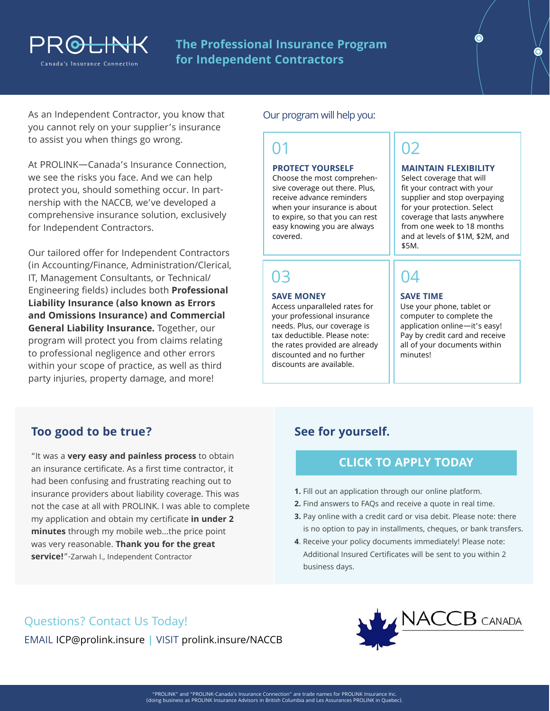

**The Professional Insurance Program for Independent Contractors**

As an Independent Contractor, you know that you cannot rely on your supplier's insurance to assist you when things go wrong.

At PROLINK—Canada's Insurance Connection, we see the risks you face. And we can help protect you, should something occur. In partnership with the NACCB, we've developed a comprehensive insurance solution, exclusively for Independent Contractors.

party injuries, property damage, and more! Our tailored offer for Independent Contractors (in Accounting/Finance, Administration/Clerical, IT, Management Consultants, or Technical/ Engineering fields) includes both **Professional Liability Insurance (also known as Errors and Omissions Insurance) and Commercial General Liability Insurance.** Together, our program will protect you from claims relating to professional negligence and other errors within your scope of practice, as well as third

### Our program will help you:

## 01

#### **PROTECT YOURSELF**

Choose the most comprehensive coverage out there. Plus, receive advance reminders when your insurance is about to expire, so that you can rest easy knowing you are always covered.

# 03

#### **SAVE MONEY**

Access unparalleled rates for your professional insurance needs. Plus, our coverage is tax deductible. Please note: the rates provided are already discounted and no further discounts are available.

# 02

#### **MAINTAIN FLEXIBILITY**

Select coverage that will fit your contract with your supplier and stop overpaying for your protection. Select coverage that lasts anywhere from one week to 18 months and at levels of \$1M, \$2M, and \$5M.

# 04

#### **SAVE TIME**

Use your phone, tablet or computer to complete the application online—it's easy! Pay by credit card and receive all of your documents within minutes!

### **Too good to be true?**

"It was a **very easy and painless process** to obtain an insurance certificate. As a first time contractor, it had been confusing and frustrating reaching out to insurance providers about liability coverage. This was not the case at all with PROLINK. I was able to complete my application and obtain my certificate **in under 2 minutes** through my mobile web...the price point was very reasonable. **Thank you for the great service!**"-Zarwah I., Independent Contractor

### **See for yourself.**

### **[CLICK TO APPLY TODAY](https://prolinkinsurance.ca/icp/apply)**

- **1.** Fill out an application through our online platform.
- **2.** Find answers to FAQs and receive a quote in real time.
- **3.** Pay online with a credit card or visa debit. Please note: there is no option to pay in installments, cheques, or bank transfers.
- **4**. Receive your policy documents immediately! Please note: Additional Insured Certificates will be sent to you within 2 business days.

### Questions? Contact Us Today!

EMAIL ICP@prolink.insure **|** VISIT [prolink.insure/NACCB](https://prolink.insure/associations/naccb/)

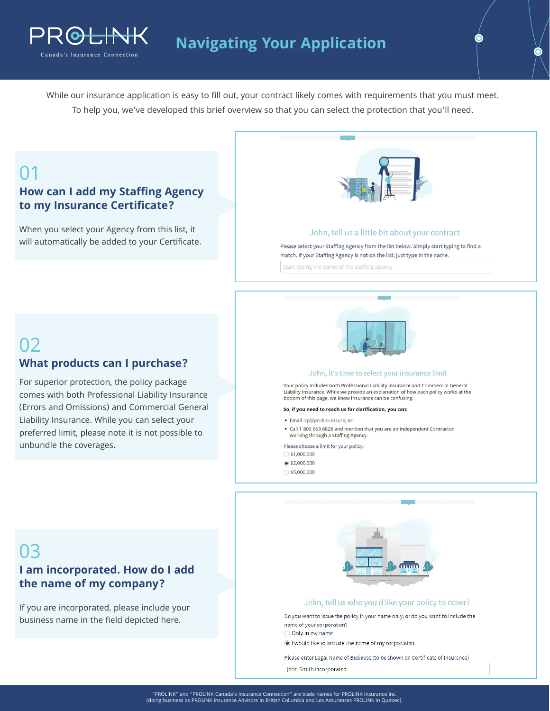

While our insurance application is easy to fill out, your contract likely comes with requirements that you must meet. To help you, we've developed this brief overview so that you can select the protection that you'll need.

# 01

02

### **How can I add my Staffing Agency to my Insurance Certificate?**

O<del>LINK</del>

Canada's Insurance Connection

When you select your Agency from this list, it will automatically be added to your Certificate.

**What products can I purchase?**

For superior protection, the policy package comes with both Professional Liability Insurance (Errors and Omissions) and Commercial General Liability Insurance. While you can select your preferred limit, please note it is not possible to



#### John, tell us a little bit about your contract

Please select your Staffing Agency from the list below. Simply start typing to find a match. If your Staffing Agency is not on the list, just type in the name.

Start typing the name of the staffing agency



#### John, it's time to select your insurance limit

Your policy includes both Professional Liability Insurance and Commercial General Liability Insurance. While we provide an explanation of how each policy works at the bottom of this page, we know insurance can be confusing.

#### So, if you need to reach us for clarification, you can:

- · Email icp@prolink.insure; or
- Call 1 800 663 6828 and mention that you are an Independent Contractor working through a Staffing Agency.

- Zarwah I., Independent Contractor

- 
- $\bullet$  \$2,000,000
- $$5,000,000$



#### John, tell us who you'd like your policy to cover?

Do you want to issue the policy in your name only, or do you want to include the name of your corporation?

O Only in my name

I would like to include the name of my corporation

Please enter Legal Name of Business (to be shown on Certificate of Insurance)

John Smith Incorporated

# 03

unbundle the coverages.

### **I am incorporated. How do I add the name of my company?**

If you are incorporated, please include your business name in the field depicted here.